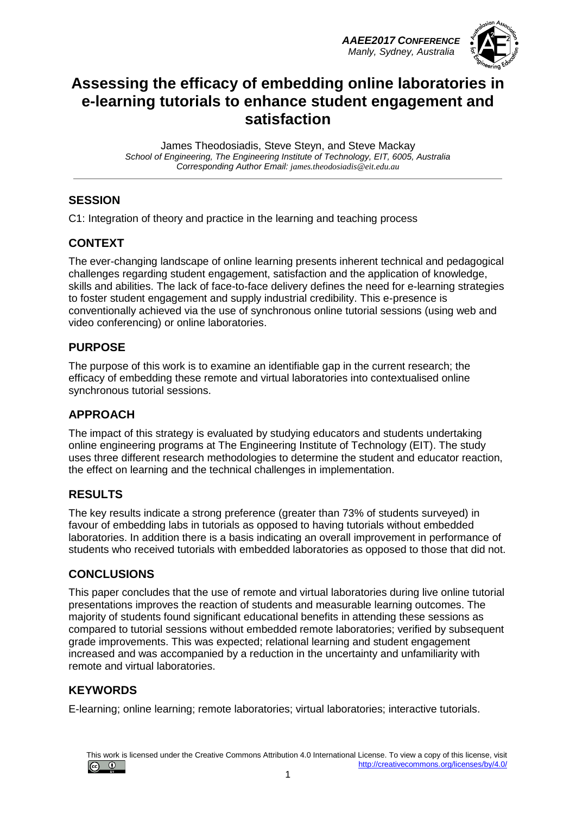*AAEE2017 CONFERENCE Manly, Sydney, Australia*



# **Assessing the efficacy of embedding online laboratories in e-learning tutorials to enhance student engagement and satisfaction**

James Theodosiadis, Steve Steyn, and Steve Mackay *School of Engineering, The Engineering Institute of Technology, EIT, 6005, Australia Corresponding Author Email: james.theodosiadis@eit.edu.au*

### **SESSION**

C1: Integration of theory and practice in the learning and teaching process

### **CONTEXT**

The ever-changing landscape of online learning presents inherent technical and pedagogical challenges regarding student engagement, satisfaction and the application of knowledge, skills and abilities. The lack of face-to-face delivery defines the need for e-learning strategies to foster student engagement and supply industrial credibility. This e-presence is conventionally achieved via the use of synchronous online tutorial sessions (using web and video conferencing) or online laboratories.

### **PURPOSE**

The purpose of this work is to examine an identifiable gap in the current research; the efficacy of embedding these remote and virtual laboratories into contextualised online synchronous tutorial sessions.

### **APPROACH**

The impact of this strategy is evaluated by studying educators and students undertaking online engineering programs at The Engineering Institute of Technology (EIT). The study uses three different research methodologies to determine the student and educator reaction, the effect on learning and the technical challenges in implementation.

### **RESULTS**

The key results indicate a strong preference (greater than 73% of students surveyed) in favour of embedding labs in tutorials as opposed to having tutorials without embedded laboratories. In addition there is a basis indicating an overall improvement in performance of students who received tutorials with embedded laboratories as opposed to those that did not.

### **CONCLUSIONS**

This paper concludes that the use of remote and virtual laboratories during live online tutorial presentations improves the reaction of students and measurable learning outcomes. The majority of students found significant educational benefits in attending these sessions as compared to tutorial sessions without embedded remote laboratories; verified by subsequent grade improvements. This was expected; relational learning and student engagement increased and was accompanied by a reduction in the uncertainty and unfamiliarity with remote and virtual laboratories.

### **KEYWORDS**

E-learning; online learning; remote laboratories; virtual laboratories; interactive tutorials.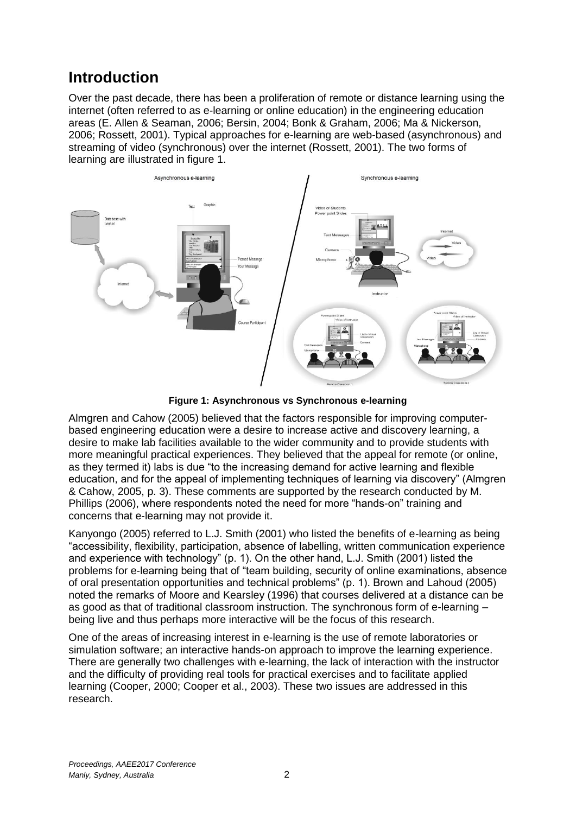# **Introduction**

Over the past decade, there has been a proliferation of remote or distance learning using the internet (often referred to as e-learning or online education) in the engineering education areas (E. Allen & Seaman, 2006; Bersin, 2004; Bonk & Graham, 2006; Ma & Nickerson, 2006; Rossett, 2001). Typical approaches for e-learning are web-based (asynchronous) and streaming of video (synchronous) over the internet (Rossett, 2001). The two forms of learning are illustrated in figure 1.



**Figure 1: Asynchronous vs Synchronous e-learning**

Almgren and Cahow (2005) believed that the factors responsible for improving computerbased engineering education were a desire to increase active and discovery learning, a desire to make lab facilities available to the wider community and to provide students with more meaningful practical experiences. They believed that the appeal for remote (or online, as they termed it) labs is due "to the increasing demand for active learning and flexible education, and for the appeal of implementing techniques of learning via discovery" (Almgren & Cahow, 2005, p. 3). These comments are supported by the research conducted by M. Phillips (2006), where respondents noted the need for more "hands-on" training and concerns that e-learning may not provide it.

Kanyongo (2005) referred to L.J. Smith (2001) who listed the benefits of e-learning as being "accessibility, flexibility, participation, absence of labelling, written communication experience and experience with technology" (p. 1). On the other hand, L.J. Smith (2001) listed the problems for e-learning being that of "team building, security of online examinations, absence of oral presentation opportunities and technical problems" (p. 1). Brown and Lahoud (2005) noted the remarks of Moore and Kearsley (1996) that courses delivered at a distance can be as good as that of traditional classroom instruction. The synchronous form of e-learning – being live and thus perhaps more interactive will be the focus of this research.

One of the areas of increasing interest in e-learning is the use of remote laboratories or simulation software; an interactive hands-on approach to improve the learning experience. There are generally two challenges with e-learning, the lack of interaction with the instructor and the difficulty of providing real tools for practical exercises and to facilitate applied learning (Cooper, 2000; Cooper et al., 2003). These two issues are addressed in this research.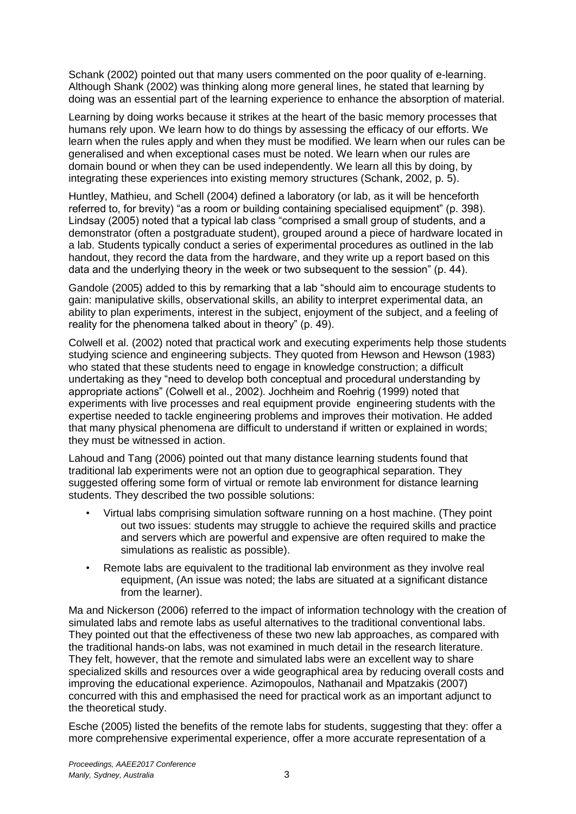Schank (2002) pointed out that many users commented on the poor quality of e-learning. Although Shank (2002) was thinking along more general lines, he stated that learning by doing was an essential part of the learning experience to enhance the absorption of material.

Learning by doing works because it strikes at the heart of the basic memory processes that humans rely upon. We learn how to do things by assessing the efficacy of our efforts. We learn when the rules apply and when they must be modified. We learn when our rules can be generalised and when exceptional cases must be noted. We learn when our rules are domain bound or when they can be used independently. We learn all this by doing, by integrating these experiences into existing memory structures (Schank, 2002, p. 5).

Huntley, Mathieu, and Schell (2004) defined a laboratory (or lab, as it will be henceforth referred to, for brevity) "as a room or building containing specialised equipment" (p. 398). Lindsay (2005) noted that a typical lab class "comprised a small group of students, and a demonstrator (often a postgraduate student), grouped around a piece of hardware located in a lab. Students typically conduct a series of experimental procedures as outlined in the lab handout, they record the data from the hardware, and they write up a report based on this data and the underlying theory in the week or two subsequent to the session" (p. 44).

Gandole (2005) added to this by remarking that a lab "should aim to encourage students to gain: manipulative skills, observational skills, an ability to interpret experimental data, an ability to plan experiments, interest in the subject, enjoyment of the subject, and a feeling of reality for the phenomena talked about in theory" (p. 49).

Colwell et al. (2002) noted that practical work and executing experiments help those students studying science and engineering subjects. They quoted from Hewson and Hewson (1983) who stated that these students need to engage in knowledge construction; a difficult undertaking as they "need to develop both conceptual and procedural understanding by appropriate actions" (Colwell et al., 2002). Jochheim and Roehrig (1999) noted that experiments with live processes and real equipment provide engineering students with the expertise needed to tackle engineering problems and improves their motivation. He added that many physical phenomena are difficult to understand if written or explained in words; they must be witnessed in action.

Lahoud and Tang (2006) pointed out that many distance learning students found that traditional lab experiments were not an option due to geographical separation. They suggested offering some form of virtual or remote lab environment for distance learning students. They described the two possible solutions:

- Virtual labs comprising simulation software running on a host machine. (They point out two issues: students may struggle to achieve the required skills and practice and servers which are powerful and expensive are often required to make the simulations as realistic as possible).
- Remote labs are equivalent to the traditional lab environment as they involve real equipment, (An issue was noted; the labs are situated at a significant distance from the learner).

Ma and Nickerson (2006) referred to the impact of information technology with the creation of simulated labs and remote labs as useful alternatives to the traditional conventional labs. They pointed out that the effectiveness of these two new lab approaches, as compared with the traditional hands-on labs, was not examined in much detail in the research literature. They felt, however, that the remote and simulated labs were an excellent way to share specialized skills and resources over a wide geographical area by reducing overall costs and improving the educational experience. Azimopoulos, Nathanail and Mpatzakis (2007) concurred with this and emphasised the need for practical work as an important adjunct to the theoretical study.

Esche (2005) listed the benefits of the remote labs for students, suggesting that they: offer a more comprehensive experimental experience, offer a more accurate representation of a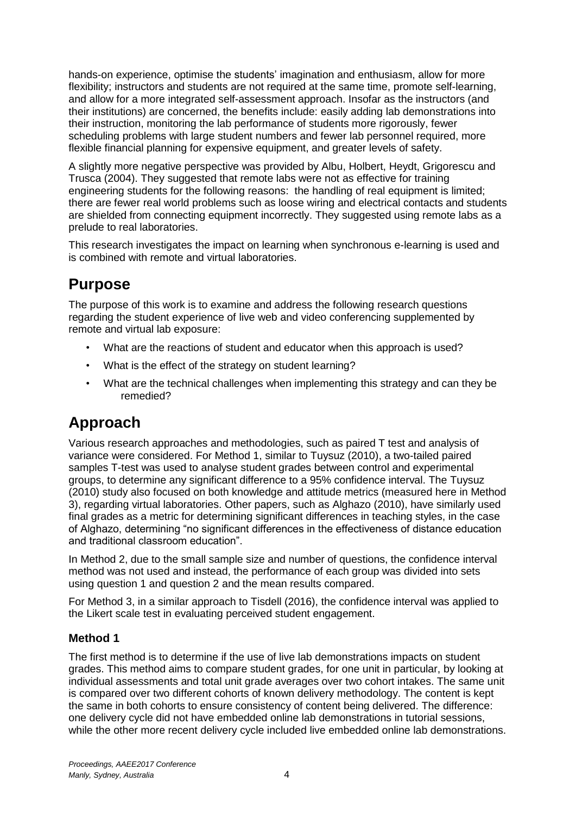hands-on experience, optimise the students' imagination and enthusiasm, allow for more flexibility; instructors and students are not required at the same time, promote self-learning, and allow for a more integrated self-assessment approach. Insofar as the instructors (and their institutions) are concerned, the benefits include: easily adding lab demonstrations into their instruction, monitoring the lab performance of students more rigorously, fewer scheduling problems with large student numbers and fewer lab personnel required, more flexible financial planning for expensive equipment, and greater levels of safety.

A slightly more negative perspective was provided by Albu, Holbert, Heydt, Grigorescu and Trusca (2004). They suggested that remote labs were not as effective for training engineering students for the following reasons: the handling of real equipment is limited; there are fewer real world problems such as loose wiring and electrical contacts and students are shielded from connecting equipment incorrectly. They suggested using remote labs as a prelude to real laboratories.

This research investigates the impact on learning when synchronous e-learning is used and is combined with remote and virtual laboratories.

# **Purpose**

The purpose of this work is to examine and address the following research questions regarding the student experience of live web and video conferencing supplemented by remote and virtual lab exposure:

- What are the reactions of student and educator when this approach is used?
- What is the effect of the strategy on student learning?
- What are the technical challenges when implementing this strategy and can they be remedied?

# **Approach**

Various research approaches and methodologies, such as paired T test and analysis of variance were considered. For Method 1, similar to Tuysuz (2010), a two-tailed paired samples T-test was used to analyse student grades between control and experimental groups, to determine any significant difference to a 95% confidence interval. The Tuysuz (2010) study also focused on both knowledge and attitude metrics (measured here in Method 3), regarding virtual laboratories. Other papers, such as Alghazo (2010), have similarly used final grades as a metric for determining significant differences in teaching styles, in the case of Alghazo, determining "no significant differences in the effectiveness of distance education and traditional classroom education".

In Method 2, due to the small sample size and number of questions, the confidence interval method was not used and instead, the performance of each group was divided into sets using question 1 and question 2 and the mean results compared.

For Method 3, in a similar approach to Tisdell (2016), the confidence interval was applied to the Likert scale test in evaluating perceived student engagement.

### **Method 1**

The first method is to determine if the use of live lab demonstrations impacts on student grades. This method aims to compare student grades, for one unit in particular, by looking at individual assessments and total unit grade averages over two cohort intakes. The same unit is compared over two different cohorts of known delivery methodology. The content is kept the same in both cohorts to ensure consistency of content being delivered. The difference: one delivery cycle did not have embedded online lab demonstrations in tutorial sessions, while the other more recent delivery cycle included live embedded online lab demonstrations.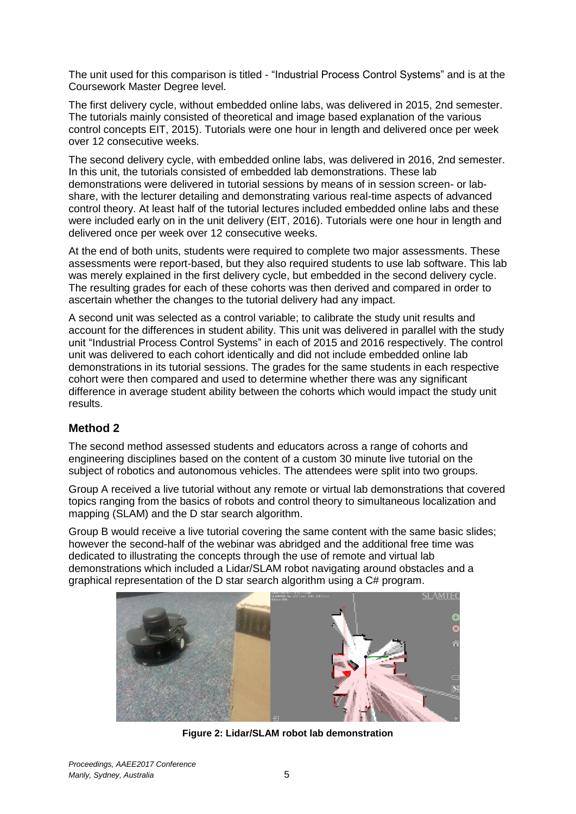The unit used for this comparison is titled - "Industrial Process Control Systems" and is at the Coursework Master Degree level.

The first delivery cycle, without embedded online labs, was delivered in 2015, 2nd semester. The tutorials mainly consisted of theoretical and image based explanation of the various control concepts EIT, 2015). Tutorials were one hour in length and delivered once per week over 12 consecutive weeks.

The second delivery cycle, with embedded online labs, was delivered in 2016, 2nd semester. In this unit, the tutorials consisted of embedded lab demonstrations. These lab demonstrations were delivered in tutorial sessions by means of in session screen- or labshare, with the lecturer detailing and demonstrating various real-time aspects of advanced control theory. At least half of the tutorial lectures included embedded online labs and these were included early on in the unit delivery (EIT, 2016). Tutorials were one hour in length and delivered once per week over 12 consecutive weeks.

At the end of both units, students were required to complete two major assessments. These assessments were report-based, but they also required students to use lab software. This lab was merely explained in the first delivery cycle, but embedded in the second delivery cycle. The resulting grades for each of these cohorts was then derived and compared in order to ascertain whether the changes to the tutorial delivery had any impact.

A second unit was selected as a control variable; to calibrate the study unit results and account for the differences in student ability. This unit was delivered in parallel with the study unit "Industrial Process Control Systems" in each of 2015 and 2016 respectively. The control unit was delivered to each cohort identically and did not include embedded online lab demonstrations in its tutorial sessions. The grades for the same students in each respective cohort were then compared and used to determine whether there was any significant difference in average student ability between the cohorts which would impact the study unit results.

### **Method 2**

The second method assessed students and educators across a range of cohorts and engineering disciplines based on the content of a custom 30 minute live tutorial on the subject of robotics and autonomous vehicles. The attendees were split into two groups.

Group A received a live tutorial without any remote or virtual lab demonstrations that covered topics ranging from the basics of robots and control theory to simultaneous localization and mapping (SLAM) and the D star search algorithm.

Group B would receive a live tutorial covering the same content with the same basic slides; however the second-half of the webinar was abridged and the additional free time was dedicated to illustrating the concepts through the use of remote and virtual lab demonstrations which included a Lidar/SLAM robot navigating around obstacles and a graphical representation of the D star search algorithm using a C# program.



**Figure 2: Lidar/SLAM robot lab demonstration**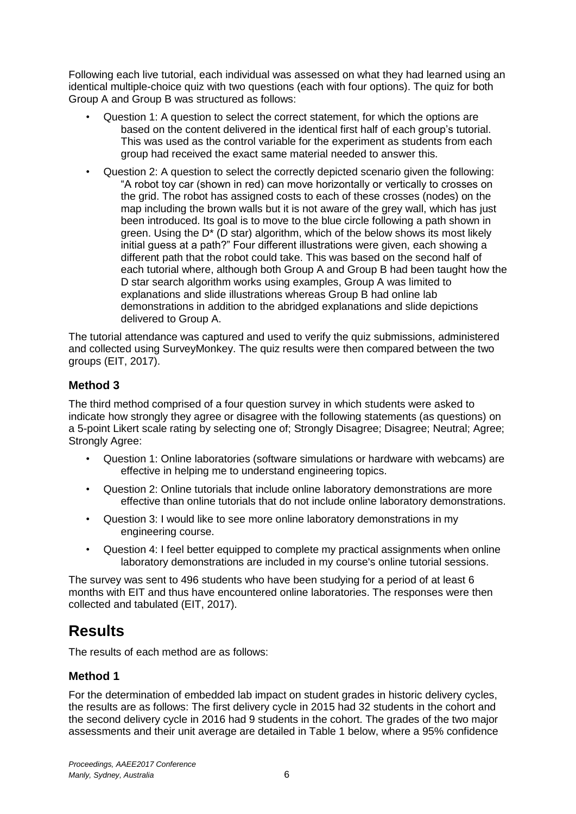Following each live tutorial, each individual was assessed on what they had learned using an identical multiple-choice quiz with two questions (each with four options). The quiz for both Group A and Group B was structured as follows:

- Question 1: A question to select the correct statement, for which the options are based on the content delivered in the identical first half of each group's tutorial. This was used as the control variable for the experiment as students from each group had received the exact same material needed to answer this.
- Question 2: A question to select the correctly depicted scenario given the following: "A robot toy car (shown in red) can move horizontally or vertically to crosses on the grid. The robot has assigned costs to each of these crosses (nodes) on the map including the brown walls but it is not aware of the grey wall, which has just been introduced. Its goal is to move to the blue circle following a path shown in green. Using the D\* (D star) algorithm, which of the below shows its most likely initial guess at a path?" Four different illustrations were given, each showing a different path that the robot could take. This was based on the second half of each tutorial where, although both Group A and Group B had been taught how the D star search algorithm works using examples. Group A was limited to explanations and slide illustrations whereas Group B had online lab demonstrations in addition to the abridged explanations and slide depictions delivered to Group A.

The tutorial attendance was captured and used to verify the quiz submissions, administered and collected using SurveyMonkey. The quiz results were then compared between the two groups (EIT, 2017).

## **Method 3**

The third method comprised of a four question survey in which students were asked to indicate how strongly they agree or disagree with the following statements (as questions) on a 5-point Likert scale rating by selecting one of; Strongly Disagree; Disagree; Neutral; Agree; Strongly Agree:

- Question 1: Online laboratories (software simulations or hardware with webcams) are effective in helping me to understand engineering topics.
- Question 2: Online tutorials that include online laboratory demonstrations are more effective than online tutorials that do not include online laboratory demonstrations.
- Question 3: I would like to see more online laboratory demonstrations in my engineering course.
- Question 4: I feel better equipped to complete my practical assignments when online laboratory demonstrations are included in my course's online tutorial sessions.

The survey was sent to 496 students who have been studying for a period of at least 6 months with EIT and thus have encountered online laboratories. The responses were then collected and tabulated (EIT, 2017).

# **Results**

The results of each method are as follows:

## **Method 1**

For the determination of embedded lab impact on student grades in historic delivery cycles, the results are as follows: The first delivery cycle in 2015 had 32 students in the cohort and the second delivery cycle in 2016 had 9 students in the cohort. The grades of the two major assessments and their unit average are detailed in Table 1 below, where a 95% confidence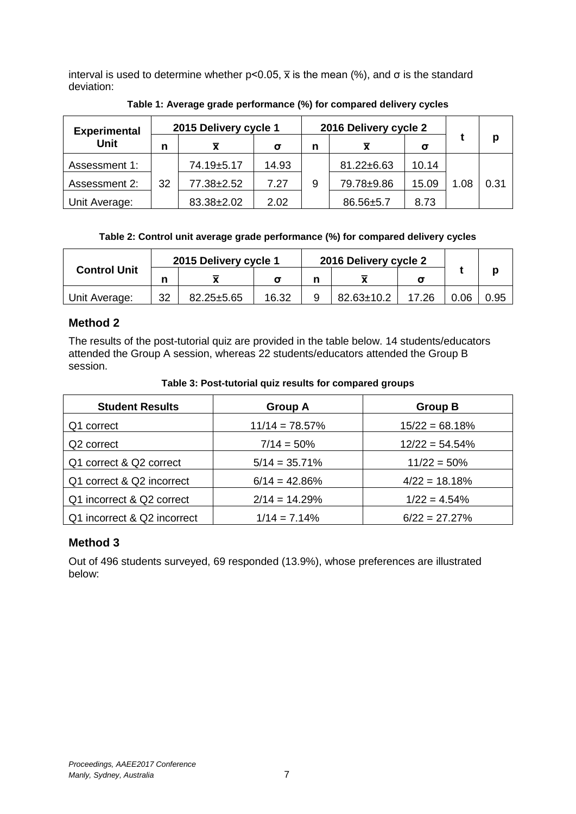interval is used to determine whether  $p<0.05$ ,  $\bar{x}$  is the mean (%), and  $\sigma$  is the standard deviation:

| <b>Experimental</b> |    | 2015 Delivery cycle 1 |       | 2016 Delivery cycle 2 |            |       |      |      |
|---------------------|----|-----------------------|-------|-----------------------|------------|-------|------|------|
| <b>Unit</b>         |    |                       | σ     | n                     | x          | σ     |      | p    |
| Assessment 1:       |    | 74.19±5.17            | 14.93 |                       | 81.22±6.63 | 10.14 |      |      |
| Assessment 2:       | 32 | 77.38±2.52            | 7.27  | 9                     | 79.78±9.86 | 15.09 | 1.08 | 0.31 |
| Unit Average:       |    | 83.38±2.02            | 2.02  |                       | 86.56±5.7  | 8.73  |      |      |

**Table 1: Average grade performance (%) for compared delivery cycles**

#### **Table 2: Control unit average grade performance (%) for compared delivery cycles**

| <b>Control Unit</b> | 2015 Delivery cycle 1 |                  |       | 2016 Delivery cycle 2 |                  |       |      |      |
|---------------------|-----------------------|------------------|-------|-----------------------|------------------|-------|------|------|
|                     | n                     |                  |       |                       |                  |       |      |      |
| Unit Average:       | 32                    | $82.25 \pm 5.65$ | 16.32 |                       | $82.63 \pm 10.2$ | 17.26 | 0.06 | 0.95 |

### **Method 2**

The results of the post-tutorial quiz are provided in the table below. 14 students/educators attended the Group A session, whereas 22 students/educators attended the Group B session.

| Table 3: Post-tutorial quiz results for compared groups |  |  |  |
|---------------------------------------------------------|--|--|--|
|                                                         |  |  |  |

| <b>Student Results</b>      | <b>Group A</b>    | <b>Group B</b>    |
|-----------------------------|-------------------|-------------------|
| Q1 correct                  | $11/14 = 78.57\%$ | $15/22 = 68.18%$  |
| Q <sub>2</sub> correct      | $7/14 = 50\%$     | $12/22 = 54.54\%$ |
| Q1 correct & Q2 correct     | $5/14 = 35.71\%$  | $11/22 = 50%$     |
| Q1 correct & Q2 incorrect   | $6/14 = 42.86\%$  | $4/22 = 18.18%$   |
| Q1 incorrect & Q2 correct   | $2/14 = 14.29%$   | $1/22 = 4.54\%$   |
| Q1 incorrect & Q2 incorrect | $1/14 = 7.14\%$   | $6/22 = 27.27\%$  |

### **Method 3**

Out of 496 students surveyed, 69 responded (13.9%), whose preferences are illustrated below: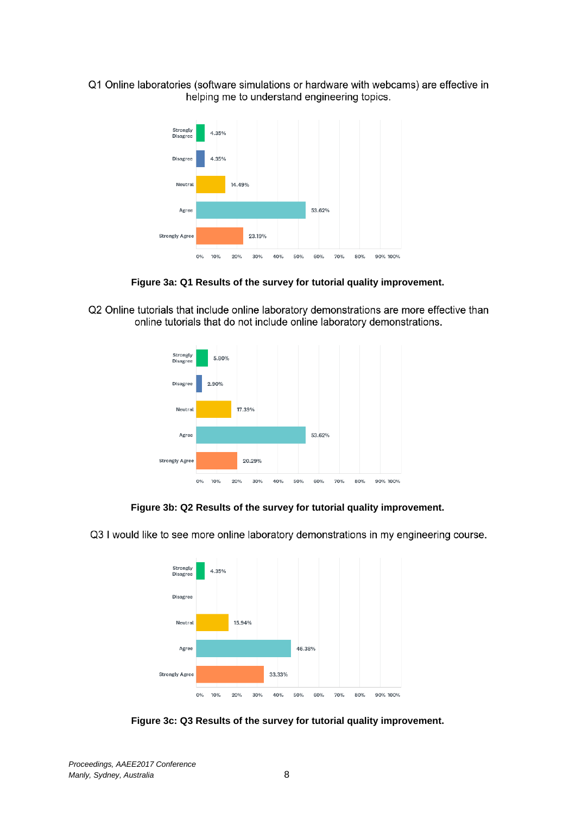Q1 Online laboratories (software simulations or hardware with webcams) are effective in helping me to understand engineering topics.



**Figure 3a: Q1 Results of the survey for tutorial quality improvement.**

Q2 Online tutorials that include online laboratory demonstrations are more effective than online tutorials that do not include online laboratory demonstrations.



**Figure 3b: Q2 Results of the survey for tutorial quality improvement.**

Q3 I would like to see more online laboratory demonstrations in my engineering course.



**Figure 3c: Q3 Results of the survey for tutorial quality improvement.**

*Proceedings, AAEE2017 Conference Manly, Sydney, Australia* 8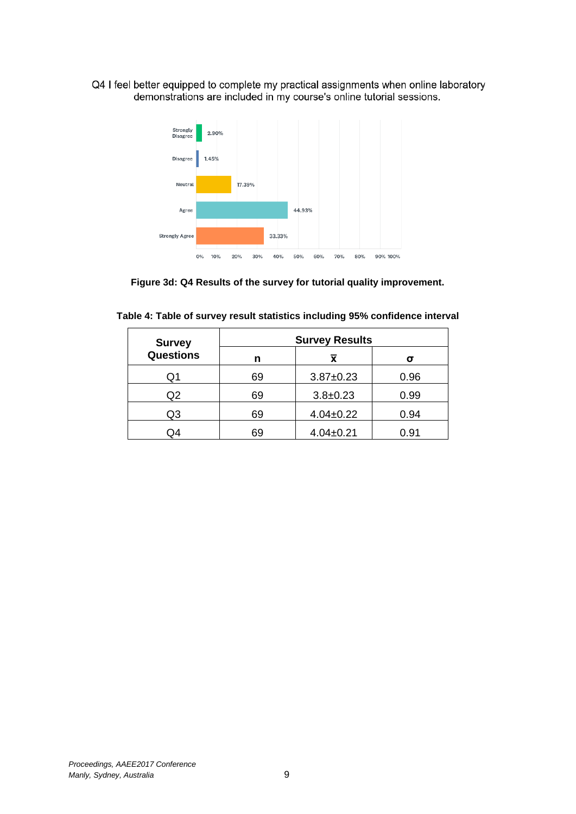Q4 I feel better equipped to complete my practical assignments when online laboratory demonstrations are included in my course's online tutorial sessions.



**Figure 3d: Q4 Results of the survey for tutorial quality improvement.**

| <b>Survey</b>    | <b>Survey Results</b> |                         |      |  |  |  |
|------------------|-----------------------|-------------------------|------|--|--|--|
| <b>Questions</b> | n                     | $\overline{\textbf{x}}$ | σ    |  |  |  |
| Q1               | 69                    | $3.87 \pm 0.23$         | 0.96 |  |  |  |
| Q <sub>2</sub>   | 69                    | $3.8 + 0.23$            | 0.99 |  |  |  |
| Q3               | 69                    | $4.04 \pm 0.22$         | 0.94 |  |  |  |
| Э4               | 69                    | $4.04 \pm 0.21$         | 0.91 |  |  |  |

| Table 4: Table of survey result statistics including 95% confidence interval |  |  |  |  |  |  |
|------------------------------------------------------------------------------|--|--|--|--|--|--|
|------------------------------------------------------------------------------|--|--|--|--|--|--|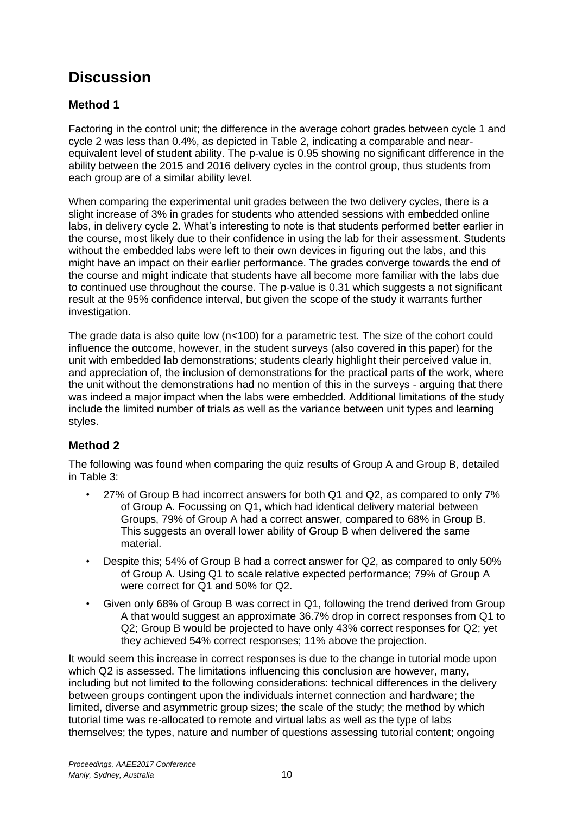# **Discussion**

## **Method 1**

Factoring in the control unit; the difference in the average cohort grades between cycle 1 and cycle 2 was less than 0.4%, as depicted in Table 2, indicating a comparable and nearequivalent level of student ability. The p-value is 0.95 showing no significant difference in the ability between the 2015 and 2016 delivery cycles in the control group, thus students from each group are of a similar ability level.

When comparing the experimental unit grades between the two delivery cycles, there is a slight increase of 3% in grades for students who attended sessions with embedded online labs, in delivery cycle 2. What's interesting to note is that students performed better earlier in the course, most likely due to their confidence in using the lab for their assessment. Students without the embedded labs were left to their own devices in figuring out the labs, and this might have an impact on their earlier performance. The grades converge towards the end of the course and might indicate that students have all become more familiar with the labs due to continued use throughout the course. The p-value is 0.31 which suggests a not significant result at the 95% confidence interval, but given the scope of the study it warrants further investigation.

The grade data is also quite low  $(n<100)$  for a parametric test. The size of the cohort could influence the outcome, however, in the student surveys (also covered in this paper) for the unit with embedded lab demonstrations; students clearly highlight their perceived value in, and appreciation of, the inclusion of demonstrations for the practical parts of the work, where the unit without the demonstrations had no mention of this in the surveys - arguing that there was indeed a major impact when the labs were embedded. Additional limitations of the study include the limited number of trials as well as the variance between unit types and learning styles.

## **Method 2**

The following was found when comparing the quiz results of Group A and Group B, detailed in Table 3:

- 27% of Group B had incorrect answers for both Q1 and Q2, as compared to only 7% of Group A. Focussing on Q1, which had identical delivery material between Groups, 79% of Group A had a correct answer, compared to 68% in Group B. This suggests an overall lower ability of Group B when delivered the same material.
- Despite this; 54% of Group B had a correct answer for Q2, as compared to only 50% of Group A. Using Q1 to scale relative expected performance; 79% of Group A were correct for Q1 and 50% for Q2.
- Given only 68% of Group B was correct in Q1, following the trend derived from Group A that would suggest an approximate 36.7% drop in correct responses from Q1 to Q2; Group B would be projected to have only 43% correct responses for Q2; yet they achieved 54% correct responses; 11% above the projection.

It would seem this increase in correct responses is due to the change in tutorial mode upon which Q2 is assessed. The limitations influencing this conclusion are however, many, including but not limited to the following considerations: technical differences in the delivery between groups contingent upon the individuals internet connection and hardware; the limited, diverse and asymmetric group sizes; the scale of the study; the method by which tutorial time was re-allocated to remote and virtual labs as well as the type of labs themselves; the types, nature and number of questions assessing tutorial content; ongoing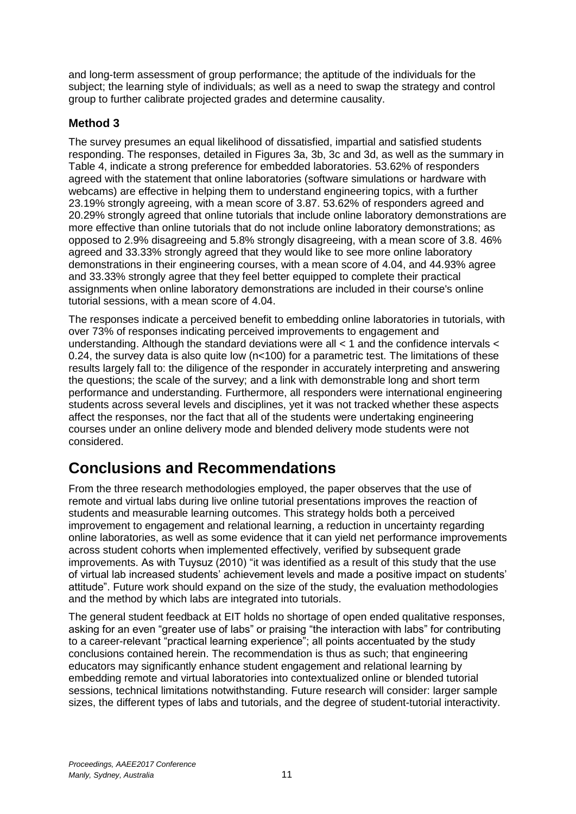and long-term assessment of group performance; the aptitude of the individuals for the subject; the learning style of individuals; as well as a need to swap the strategy and control group to further calibrate projected grades and determine causality.

### **Method 3**

The survey presumes an equal likelihood of dissatisfied, impartial and satisfied students responding. The responses, detailed in Figures 3a, 3b, 3c and 3d, as well as the summary in Table 4, indicate a strong preference for embedded laboratories. 53.62% of responders agreed with the statement that online laboratories (software simulations or hardware with webcams) are effective in helping them to understand engineering topics, with a further 23.19% strongly agreeing, with a mean score of 3.87. 53.62% of responders agreed and 20.29% strongly agreed that online tutorials that include online laboratory demonstrations are more effective than online tutorials that do not include online laboratory demonstrations; as opposed to 2.9% disagreeing and 5.8% strongly disagreeing, with a mean score of 3.8. 46% agreed and 33.33% strongly agreed that they would like to see more online laboratory demonstrations in their engineering courses, with a mean score of 4.04, and 44.93% agree and 33.33% strongly agree that they feel better equipped to complete their practical assignments when online laboratory demonstrations are included in their course's online tutorial sessions, with a mean score of 4.04.

The responses indicate a perceived benefit to embedding online laboratories in tutorials, with over 73% of responses indicating perceived improvements to engagement and understanding. Although the standard deviations were all < 1 and the confidence intervals < 0.24, the survey data is also quite low (n<100) for a parametric test. The limitations of these results largely fall to: the diligence of the responder in accurately interpreting and answering the questions; the scale of the survey; and a link with demonstrable long and short term performance and understanding. Furthermore, all responders were international engineering students across several levels and disciplines, yet it was not tracked whether these aspects affect the responses, nor the fact that all of the students were undertaking engineering courses under an online delivery mode and blended delivery mode students were not considered.

# **Conclusions and Recommendations**

From the three research methodologies employed, the paper observes that the use of remote and virtual labs during live online tutorial presentations improves the reaction of students and measurable learning outcomes. This strategy holds both a perceived improvement to engagement and relational learning, a reduction in uncertainty regarding online laboratories, as well as some evidence that it can yield net performance improvements across student cohorts when implemented effectively, verified by subsequent grade improvements. As with Tuysuz (2010) "it was identified as a result of this study that the use of virtual lab increased students' achievement levels and made a positive impact on students' attitude". Future work should expand on the size of the study, the evaluation methodologies and the method by which labs are integrated into tutorials.

The general student feedback at EIT holds no shortage of open ended qualitative responses, asking for an even "greater use of labs" or praising "the interaction with labs" for contributing to a career-relevant "practical learning experience"; all points accentuated by the study conclusions contained herein. The recommendation is thus as such; that engineering educators may significantly enhance student engagement and relational learning by embedding remote and virtual laboratories into contextualized online or blended tutorial sessions, technical limitations notwithstanding. Future research will consider: larger sample sizes, the different types of labs and tutorials, and the degree of student-tutorial interactivity.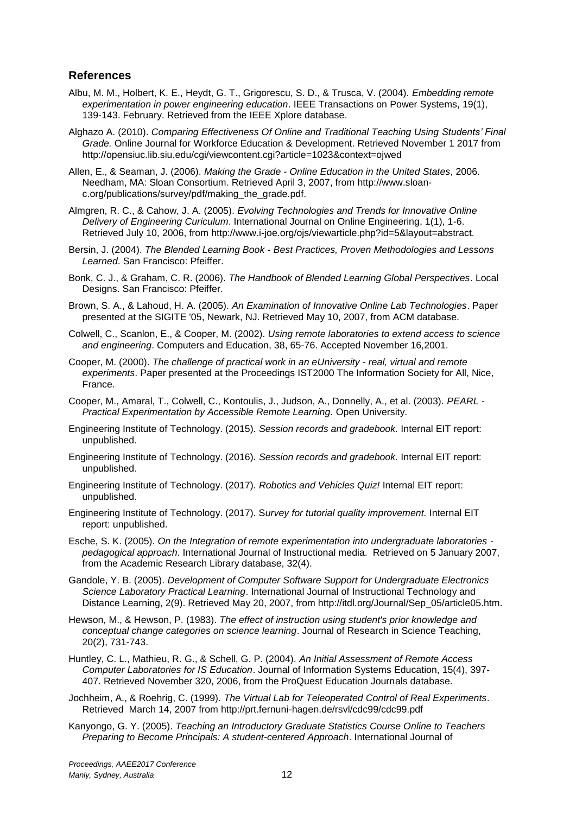#### **References**

- Albu, M. M., Holbert, K. E., Heydt, G. T., Grigorescu, S. D., & Trusca, V. (2004). *Embedding remote experimentation in power engineering education*. IEEE Transactions on Power Systems, 19(1), 139-143. February. Retrieved from the IEEE Xplore database.
- Alghazo A. (2010). *Comparing Effectiveness Of Online and Traditional Teaching Using Students' Final Grade.* Online Journal for Workforce Education & Development. Retrieved November 1 2017 from http://opensiuc.lib.siu.edu/cgi/viewcontent.cgi?article=1023&context=ojwed
- Allen, E., & Seaman, J. (2006). *Making the Grade - Online Education in the United States*, 2006. Needham, MA: Sloan Consortium. Retrieved April 3, 2007, from http://www.sloanc.org/publications/survey/pdf/making\_the\_grade.pdf.
- Almgren, R. C., & Cahow, J. A. (2005). *Evolving Technologies and Trends for Innovative Online Delivery of Engineering Curiculum*. International Journal on Online Engineering, 1(1), 1-6. Retrieved July 10, 2006, from http://www.i-joe.org/ojs/viewarticle.php?id=5&layout=abstract.
- Bersin, J. (2004). *The Blended Learning Book - Best Practices, Proven Methodologies and Lessons Learned*. San Francisco: Pfeiffer.
- Bonk, C. J., & Graham, C. R. (2006). *The Handbook of Blended Learning Global Perspectives*. Local Designs. San Francisco: Pfeiffer.
- Brown, S. A., & Lahoud, H. A. (2005). *An Examination of Innovative Online Lab Technologies*. Paper presented at the SIGITE '05, Newark, NJ. Retrieved May 10, 2007, from ACM database.
- Colwell, C., Scanlon, E., & Cooper, M. (2002). *Using remote laboratories to extend access to science and engineering*. Computers and Education, 38, 65-76. Accepted November 16,2001.
- Cooper, M. (2000). *The challenge of practical work in an eUniversity - real, virtual and remote experiments*. Paper presented at the Proceedings IST2000 The Information Society for All, Nice, France.
- Cooper, M., Amaral, T., Colwell, C., Kontoulis, J., Judson, A., Donnelly, A., et al. (2003). *PEARL - Practical Experimentation by Accessible Remote Learning.* Open University.
- Engineering Institute of Technology. (2015). *Session records and gradebook.* Internal EIT report: unpublished.
- Engineering Institute of Technology. (2016). *Session records and gradebook.* Internal EIT report: unpublished.
- Engineering Institute of Technology. (2017). *Robotics and Vehicles Quiz!* Internal EIT report: unpublished.
- Engineering Institute of Technology. (2017). S*urvey for tutorial quality improvement.* Internal EIT report: unpublished.
- Esche, S. K. (2005). *On the Integration of remote experimentation into undergraduate laboratories pedagogical approach*. International Journal of Instructional media. Retrieved on 5 January 2007, from the Academic Research Library database, 32(4).
- Gandole, Y. B. (2005). *Development of Computer Software Support for Undergraduate Electronics Science Laboratory Practical Learning*. International Journal of Instructional Technology and Distance Learning, 2(9). Retrieved May 20, 2007, from http://itdl.org/Journal/Sep\_05/article05.htm.
- Hewson, M., & Hewson, P. (1983). *The effect of instruction using student's prior knowledge and conceptual change categories on science learning*. Journal of Research in Science Teaching, 20(2), 731-743.
- Huntley, C. L., Mathieu, R. G., & Schell, G. P. (2004). *An Initial Assessment of Remote Access Computer Laboratories for IS Education*. Journal of Information Systems Education, 15(4), 397- 407. Retrieved November 320, 2006, from the ProQuest Education Journals database.
- Jochheim, A., & Roehrig, C. (1999). *The Virtual Lab for Teleoperated Control of Real Experiments*. Retrieved March 14, 2007 from http://prt.fernuni-hagen.de/rsvl/cdc99/cdc99.pdf
- Kanyongo, G. Y. (2005). *Teaching an Introductory Graduate Statistics Course Online to Teachers Preparing to Become Principals: A student-centered Approach*. International Journal of